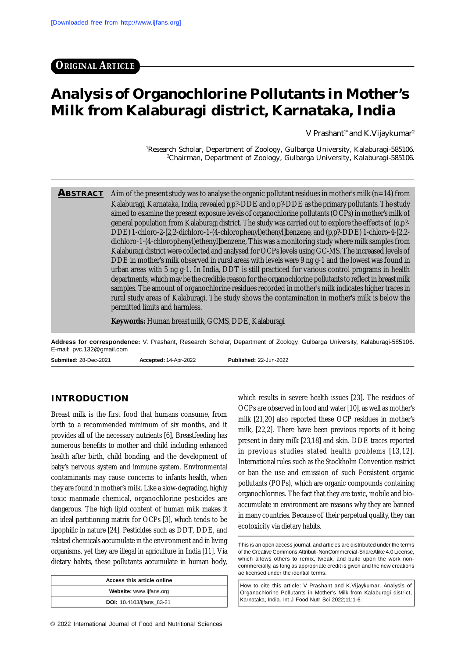**ORIGINAL ARTICLE**

# **Analysis of Organochlorine Pollutants in Mother's Milk from Kalaburagi district, Karnataka, India**

V Prashant<sup>1\*</sup> and K.Vijaykumar<sup>2</sup>

<sup>1</sup>Research Scholar, Department of Zoology, Gulbarga University, Kalaburagi-585106. <sup>2</sup>Chairman, Department of Zoology, Gulbarga University, Kalaburagi-585106.

**ABSTRACT** Aim of the present study was to analyse the organic pollutant residues in mother's milk (n=14) from Kalaburagi, Karnataka, India, revealed p,p?-DDE and o,p?-DDE as the primary pollutants. The study aimed to examine the present exposure levels of organochlorine pollutants (OCPs) in mother's milk of general population from Kalaburagi district. The study was carried out to explore the effects of (o,p?- DDE) 1-chloro-2-[2,2-dichloro-1-(4-chlorophenyl)ethenyl]benzene, and (p,p?-DDE) 1-chloro-4-[2,2 dichloro-1-(4-chlorophenyl)ethenyl]benzene, This was a monitoring study where milk samples from Kalaburagi district were collected and analysed for OCPs levels using GC-MS. The increased levels of DDE in mother's milk observed in rural areas with levels were 9 ng g-1 and the lowest was found in urban areas with 5 ng g-1. In India, DDT is still practiced for various control programs in health departments, which may be the credible reason for the organochlorine pollutants to reflect in breast milk samples. The amount of organochlorine residues recorded in mother's milk indicates higher traces in rural study areas of Kalaburagi. The study shows the contamination in mother's milk is below the permitted limits and harmless.

**Keywords:** Human breast milk, GCMS, DDE, Kalaburagi

**Address for correspondence:** V. Prashant, Research Scholar, Department of Zoology, Gulbarga University, Kalaburagi-585106. E-mail: [pvc.132@gmail.com](mailto:pvc.132@gmail.com)

**Submited:** 28-Dec-2021 **Accepted:** 14-Apr-2022 **Published:** 22-Jun-2022

#### **INTRODUCTION**

Breast milk is the first food that humans consume, from birth to a recommended minimum of six months, and it provides all of the necessary nutrients [6], Breastfeeding has numerous benefits to mother and child including enhanced health after birth, child bonding, and the development of baby's nervous system and immune system. Environmental contaminants may cause concerns to infants health, when they are found in mother's milk. Like a slow-degrading, highly toxic manmade chemical, organochlorine pesticides are dangerous. The high lipid content of human milk makes it an ideal partitioning matrix for OCPs [3], which tends to be lipophilic in nature [24]. Pesticides such as DDT, DDE, and related chemicals accumulate in the environment and in living organisms, yet they are illegal in agriculture in India [11]. Via dietary habits, these pollutants accumulate in human body,

| Access this article online       |  |  |
|----------------------------------|--|--|
| Website: www.ijfans.org          |  |  |
| <b>DOI:</b> 10.4103/ijfans 83-21 |  |  |

which results in severe health issues [23]. The residues of OCPs are observed in food and water [10], as well as mother's milk [21,20] also reported these OCP residues in mother's milk, [22,2]. There have been previous reports of it being present in dairy milk [23,18] and skin. DDE traces reported in previous studies stated health problems [13,12]. International rules such as the Stockholm Convention restrict or ban the use and emission of such Persistent organic pollutants (POPs), which are organic compounds containing organochlorines. The fact that they are toxic, mobile and bioaccumulate in environment are reasons why they are banned in many countries. Because of their perpetual quality, they can ecotoxicity via dietary habits.

How to cite this article: V Prashant and K.Vijaykumar. Analysis of Organochlorine Pollutants in Mother's Milk from Kalaburagi district, Karnataka, India. Int J Food Nutr Sci 2022;11:1-6.

This is an open access journal, and articles are distributed under the terms of the Creative Commons Attributi-NonCommercial-ShareAlike 4.0 License, which allows others to remix, tweak, and build upon the work noncommercially, as long as appropriate credit is given and the new creations ae licensed under the idential terms.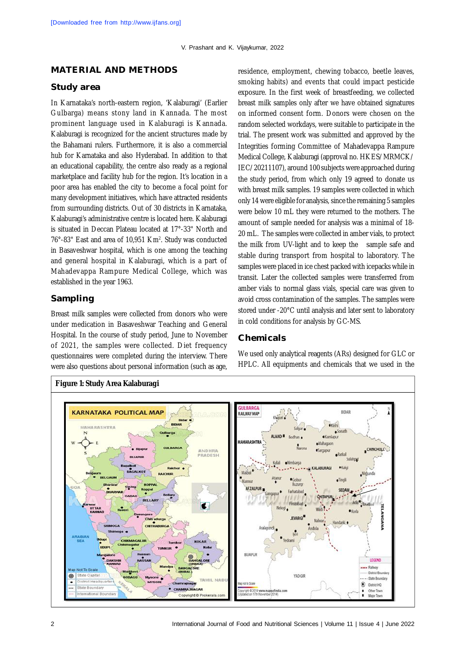#### **MATERIAL AND METHODS**

#### **Study area**

In Karnataka's north-eastern region, 'Kalaburagi' (Earlier Gulbarga) means stony land in Kannada. The most prominent language used in Kalaburagi is Kannada. Kalaburagi is recognized for the ancient structures made by the Bahamani rulers. Furthermore, it is also a commercial hub for Karnataka and also Hyderabad. In addition to that an educational capability, the centre also ready as a regional marketplace and facility hub for the region. It's location in a poor area has enabled the city to become a focal point for many development initiatives, which have attracted residents from surrounding districts. Out of 30 districts in Karnataka, Kalaburagi's administrative centre is located here. Kalaburagi is situated in Deccan Plateau located at 17°-33" North and 76°-83" East and area of 10,951 Km<sup>2</sup> . Study was conducted in Basaveshwar hospital, which is one among the teaching and general hospital in Kalaburagi, which is a part of Mahadevappa Rampure Medical College, which was established in the year 1963.

#### **Sampling**

Breast milk samples were collected from donors who were under medication in Basaveshwar Teaching and General Hospital. In the course of study period, June to November of 2021, the samples were collected. Diet frequency questionnaires were completed during the interview. There were also questions about personal information (such as age, residence, employment, chewing tobacco, beetle leaves, smoking habits) and events that could impact pesticide exposure. In the first week of breastfeeding, we collected breast milk samples only after we have obtained signatures on informed consent form. Donors were chosen on the random selected workdays, were suitable to participate in the trial. The present work was submitted and approved by the Integrities forming Committee of Mahadevappa Rampure Medical College, Kalaburagi (approval no. HKES/MRMCK/ IEC/20211107), around 100 subjects were approached during the study period, from which only 19 agreed to donate us with breast milk samples. 19 samples were collected in which only 14 were eligible for analysis, since the remaining 5 samples were below 10 mL they were returned to the mothers. The amount of sample needed for analysis was a minimal of 18- 20 mL. The samples were collected in amber vials, to protect the milk from UV-light and to keep the sample safe and stable during transport from hospital to laboratory. The samples were placed in ice chest packed with icepacks while in transit. Later the collected samples were transferred from amber vials to normal glass vials, special care was given to avoid cross contamination of the samples. The samples were stored under -20°C until analysis and later sent to laboratory in cold conditions for analysis by GC-MS.

#### **Chemicals**

We used only analytical reagents (ARs) designed for GLC or HPLC. All equipments and chemicals that we used in the

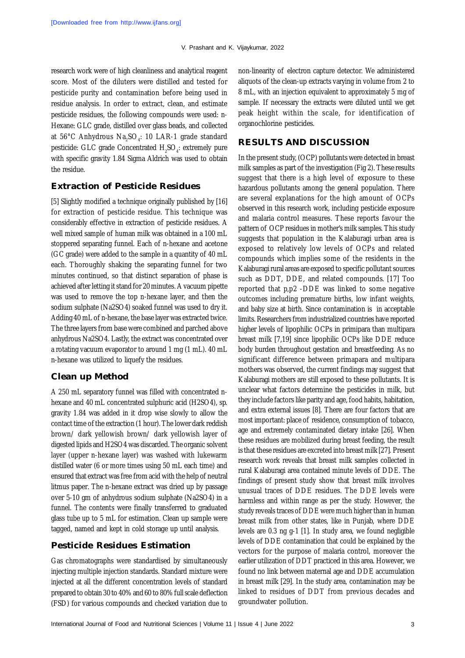research work were of high cleanliness and analytical reagent score. Most of the diluters were distilled and tested for pesticide purity and contamination before being used in residue analysis. In order to extract, clean, and estimate pesticide residues, the following compounds were used: n-Hexane: GLC grade, distilled over glass beads, and collected at 56°C Anhydrous Na $_{\textrm{\tiny{2}}}$ SO $_{\textrm{\tiny{4}}}$ : 10 LAR-1 grade standard pesticide: GLC grade Concentrated  $H_2$ SO<sub>4</sub>: extremely pure with specific gravity 1.84 Sigma Aldrich was used to obtain the residue.

#### **Extraction of Pesticide Residues**

[5] Slightly modified a technique originally published by [16] for extraction of pesticide residue. This technique was considerably effective in extraction of pesticide residues. A well mixed sample of human milk was obtained in a 100 mL stoppered separating funnel. Each of n-hexane and acetone (GC grade) were added to the sample in a quantity of 40 mL each. Thoroughly shaking the separating funnel for two minutes continued, so that distinct separation of phase is achieved after letting it stand for 20 minutes. A vacuum pipette was used to remove the top n-hexane layer, and then the sodium sulphate (Na2SO4) soaked funnel was used to dry it. Adding 40 mL of n-hexane, the base layer was extracted twice. The three layers from base were combined and parched above anhydrous Na2SO4. Lastly, the extract was concentrated over a rotating vacuum evaporator to around 1 mg (1 mL). 40 mL n-hexane was utilized to liquefy the residues.

#### **Clean up Method**

A 250 mL separatory funnel was filled with concentrated nhexane and 40 mL concentrated sulphuric acid (H2SO4), sp. gravity 1.84 was added in it drop wise slowly to allow the contact time of the extraction (1 hour). The lower dark reddish brown/ dark yellowish brown/ dark yellowish layer of digested lipids and H2SO4 was discarded. The organic solvent layer (upper n-hexane layer) was washed with lukewarm distilled water (6 or more times using 50 mL each time) and ensured that extract was free from acid with the help of neutral litmus paper. The n-hexane extract was dried up by passage over 5-10 gm of anhydrous sodium sulphate (Na2SO4) in a funnel. The contents were finally transferred to graduated glass tube up to 5 mL for estimation. Clean up sample were tagged, named and kept in cold storage up until analysis.

#### **Pesticide Residues Estimation**

Gas chromatographs were standardised by simultaneously injecting multiple injection standards. Standard mixture were injected at all the different concentration levels of standard prepared to obtain 30 to 40% and 60 to 80% full scale deflection (FSD) for various compounds and checked variation due to

non-linearity of electron capture detector. We administered aliquots of the clean-up extracts varying in volume from 2 to 8 mL, with an injection equivalent to approximately 5 mg of sample. If necessary the extracts were diluted until we get peak height within the scale, for identification of organochlorine pesticides.

### **RESULTS AND DISCUSSION**

In the present study, (OCP) pollutants were detected in breast milk samples as part of the investigation (Fig 2). These results suggest that there is a high level of exposure to these hazardous pollutants among the general population. There are several explanations for the high amount of OCPs observed in this research work, including pesticide exposure and malaria control measures. These reports favour the pattern of OCP residues in mother's milk samples. This study suggests that population in the Kalaburagi urban area is exposed to relatively low levels of OCPs and related compounds which implies some of the residents in the Kalaburagi rural areas are exposed to specific pollutant sources such as DDT, DDE, and related compounds. [17] Too reported that p,p2 -DDE was linked to some negative outcomes including premature births, low infant weights, and baby size at birth. Since contamination is in acceptable limits. Researchers from industrialized countries have reported higher levels of lipophilic OCPs in primipara than multipara breast milk [7,19] since lipophilic OCPs like DDE reduce body burden throughout gestation and breastfeeding. As no significant difference between primapara and multipara mothers was observed, the current findings may suggest that Kalaburagi mothers are still exposed to these pollutants. It is unclear what factors determine the pesticides in milk, but they include factors like parity and age, food habits, habitation, and extra external issues [8]. There are four factors that are most important: place of residence, consumption of tobacco, age and extremely contaminated dietary intake [26]. When these residues are mobilized during breast feeding, the result is that these residues are excreted into breast milk [27]. Present research work reveals that breast milk samples collected in rural Kalaburagi area contained minute levels of DDE. The findings of present study show that breast milk involves unusual traces of DDE residues. The DDE levels were harmless and within range as per the study. However, the study reveals traces of DDE were much higher than in human breast milk from other states, like in Punjab, where DDE levels are 0.3 ng g-1 [1]. In study area, we found negligible levels of DDE contamination that could be explained by the vectors for the purpose of malaria control, moreover the earlier utilization of DDT practiced in this area. However, we found no link between maternal age and DDE accumulation in breast milk [29]. In the study area, contamination may be linked to residues of DDT from previous decades and groundwater pollution.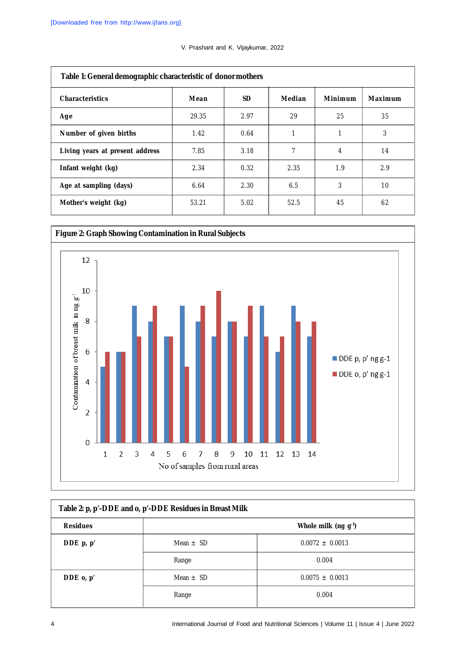| V. Prashant and K. Vijaykumar, 2022 |  |  |  |
|-------------------------------------|--|--|--|
|-------------------------------------|--|--|--|

| Table 1: General demographic characteristic of donor mothers |       |      |        |         |         |  |
|--------------------------------------------------------------|-------|------|--------|---------|---------|--|
| <b>Characteristics</b>                                       | Mean  | SD.  | Median | Minimum | Maximum |  |
| Age                                                          | 29.35 | 2.97 | 29     | 25      | 35      |  |
| Number of given births                                       | 1.42  | 0.64 | 1      |         | 3       |  |
| Living years at present address                              | 7.85  | 3.18 | 7      | 4       | 14      |  |
| Infant weight (kg)                                           | 2.34  | 0.32 | 2.35   | 1.9     | 2.9     |  |
| Age at sampling (days)                                       | 6.64  | 2.30 | 6.5    | 3       | 10      |  |
| Mother's weight (kg)                                         | 53.21 | 5.02 | 52.5   | 45      | 62      |  |



| Table 2: p, p'-DDE and o, p'-DDE Residues in Breast Milk |                           |                     |  |  |  |
|----------------------------------------------------------|---------------------------|---------------------|--|--|--|
| <b>Residues</b>                                          | Whole milk (ng $g^{-1}$ ) |                     |  |  |  |
| DDE $p, p'$                                              | Mean $\pm$ SD             | $0.0072 + 0.0013$   |  |  |  |
|                                                          | Range                     | 0.004               |  |  |  |
| DDE $o, p'$                                              | Mean $\pm$ SD             | $0.0075 \pm 0.0013$ |  |  |  |
|                                                          | Range                     | 0.004               |  |  |  |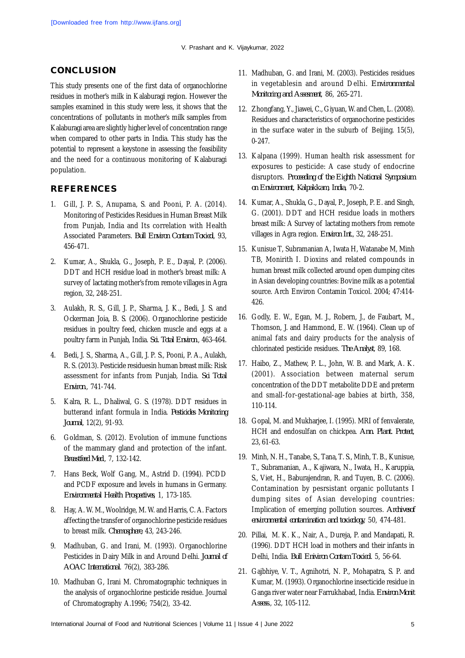V. Prashant and K. Vijaykumar, 2022

## **CONCLUSION**

This study presents one of the first data of organochlorine residues in mother's milk in Kalaburagi region. However the samples examined in this study were less, it shows that the concentrations of pollutants in mother's milk samples from Kalaburagi area are slightly higher level of concentration range when compared to other parts in India. This study has the potential to represent a keystone in assessing the feasibility and the need for a continuous monitoring of Kalaburagi population.

## **REFERENCES**

- 1. Gill, J. P. S., Anupama, S. and Pooni, P. A. (2014). Monitoring of Pesticides Residues in Human Breast Milk from Punjab, India and Its correlation with Health Associated Parameters. *Bull Environ Contam Toxicol*, 93, 456-471.
- 2. Kumar, A., Shukla, G., Joseph, P. E., Dayal, P. (2006). DDT and HCH residue load in mother's breast milk: A survey of lactating mother's from remote villages in Agra region, 32, 248-251.
- 3. Aulakh, R. S., Gill, J. P., Sharma, J. K., Bedi, J. S. and Ockerman Joia, B. S. (2006). Organochlorine pesticide residues in poultry feed, chicken muscle and eggs at a poultry farm in Punjab, India. *Sci. Total Environ*., 463-464.
- 4. Bedi, J. S., Sharma, A., Gill, J. P. S., Pooni, P. A., Aulakh, R. S. (2013). Pesticide residuesin human breast milk: Risk assessment for infants from Punjab, India. *Sci Total Environ*., 741-744.
- 5. Kalra, R. L., Dhaliwal, G. S. (1978). DDT residues in butterand infant formula in India. *Pesticides Monitoring Journal*, 12(2), 91-93.
- 6. Goldman, S. (2012). Evolution of immune functions of the mammary gland and protection of the infant. *Breastfeed Med*., 7, 132-142.
- 7. Hans Beck, Wolf Gang, M., Astrid D. (1994). PCDD and PCDF exposure and levels in humans in Germany. *Environmental Health Prospectives*, 1, 173-185.
- 8. Hay, A. W. M., Woolridge, M. W. and Harris, C. A. Factors affecting the transfer of organochlorine pesticide residues to breast milk. *Chemosphere*, 43, 243-246.
- 9. Madhuban, G. and Irani, M. (1993). Organochlorine Pesticides in Dairy Milk in and Around Delhi. *Journal of AOAC International*. 76(2), 383-286.
- 10. Madhuban G, Irani M. Chromatographic techniques in the analysis of organochlorine pesticide residue. Journal of Chromatography A.1996; 754(2), 33-42.
- 11. Madhuban, G. and Irani, M. (2003). Pesticides residues in vegetablesin and around Delhi. *Environmental Monitoring and Assesment*, 86, 265-271.
- 12. Zhongfang, Y., Jiawei, C., Giyuan, W. and Chen, L. (2008). Residues and characteristics of organochorine pesticides in the surface water in the suburb of Beijing. 15(5), 0-247.
- 13. Kalpana (1999). Human health risk assessment for exposures to pesticide: A case study of endocrine disruptors. *Proceeding of the Eighth National Symposium on Environment, Kalpakkam, India*, 70-2.
- 14. Kumar, A., Shukla, G., Dayal, P., Joseph, P. E. and Singh, G. (2001). DDT and HCH residue loads in mothers breast milk: A Survey of lactating mothers from remote villages in Agra region. *Environ Int.*, 32, 248-251.
- 15. Kunisue T, Subramanian A, Iwata H, Watanabe M, Minh TB, Monirith I. Dioxins and related compounds in human breast milk collected around open dumping cites in Asian developing countries: Bovine milk as a potential source. Arch Environ Contamin Toxicol. 2004; 47:414- 426.
- 16. Godly, E. W., Egan, M. J., Robern, J., de Faubart, M., Thomson, J. and Hammond, E. W. (1964). Clean up of animal fats and dairy products for the analysis of chlorinated pesticide residues. *The Analyst*, 89, 168.
- 17. Haibo, Z., Mathew, P. L., John, W. B. and Mark, A. K. (2001). Association between maternal serum concentration of the DDT metabolite DDE and preterm and small-for-gestational-age babies at birth, 358, 110-114.
- 18. Gopal, M. and Mukharjee, I. (1995). MRI of fenvalerate, HCH and endosulfan on chickpea. *Ann. Plant. Protect*, 23, 61-63.
- 19. Minh, N. H., Tanabe, S., Tana, T. S., Minh, T. B., Kunisue, T., Subramanian, A., Kajiwara, N., Iwata, H., Karuppia, S., Viet, H., Baburajendran, R. and Tuyen, B. C. (2006). Contamination by pesrsistant organic pollutants I dumping sites of Asian developing countries: Implication of emerging pollution sources. *Archivesof environmental contamination and toxicology*, 50, 474-481.
- 20. Pillai, M. K. K., Nair, A., Dureja, P. and Mandapati, R. (1996). DDT HCH load in mothers and their infants in Delhi, India. *Bull Eniviron Contam Toxicol*. 5, 56-64.
- 21. Gajbhiye, V. T., Agnihotri, N. P., Mohapatra, S. P. and Kumar, M. (1993). Organochlorine insecticide residue in Ganga river water near Farrukhabad, India. *Environ Monit Assess*., 32, 105-112.